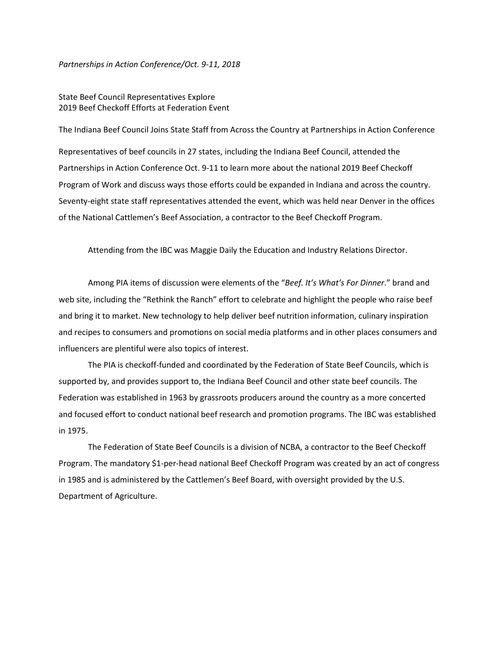*Partnerships in Action Conference/Oct. 9-11, 2018*

## State Beef Council Representatives Explore 2019 Beef Checkoff Efforts at Federation Event

The Indiana Beef Council Joins State Staff from Across the Country at Partnerships in Action Conference Representatives of beef councils in 27 states, including the Indiana Beef Council, attended the Partnerships in Action Conference Oct. 9-11 to learn more about the national 2019 Beef Checkoff Program of Work and discuss ways those efforts could be expanded in Indiana and across the country. Seventy-eight state staff representatives attended the event, which was held near Denver in the offices of the National Cattlemen's Beef Association, a contractor to the Beef Checkoff Program.

Attending from the IBC was Maggie Daily the Education and Industry Relations Director.

Among PIA items of discussion were elements of the "*Beef. It's What's For Dinner*." brand and web site, including the "Rethink the Ranch" effort to celebrate and highlight the people who raise beef and bring it to market. New technology to help deliver beef nutrition information, culinary inspiration and recipes to consumers and promotions on social media platforms and in other places consumers and influencers are plentiful were also topics of interest.

The PIA is checkoff-funded and coordinated by the Federation of State Beef Councils, which is supported by, and provides support to, the Indiana Beef Council and other state beef councils. The Federation was established in 1963 by grassroots producers around the country as a more concerted and focused effort to conduct national beef research and promotion programs. The IBC was established in 1975.

The Federation of State Beef Councils is a division of NCBA, a contractor to the Beef Checkoff Program. The mandatory \$1-per-head national Beef Checkoff Program was created by an act of congress in 1985 and is administered by the Cattlemen's Beef Board, with oversight provided by the U.S. Department of Agriculture.